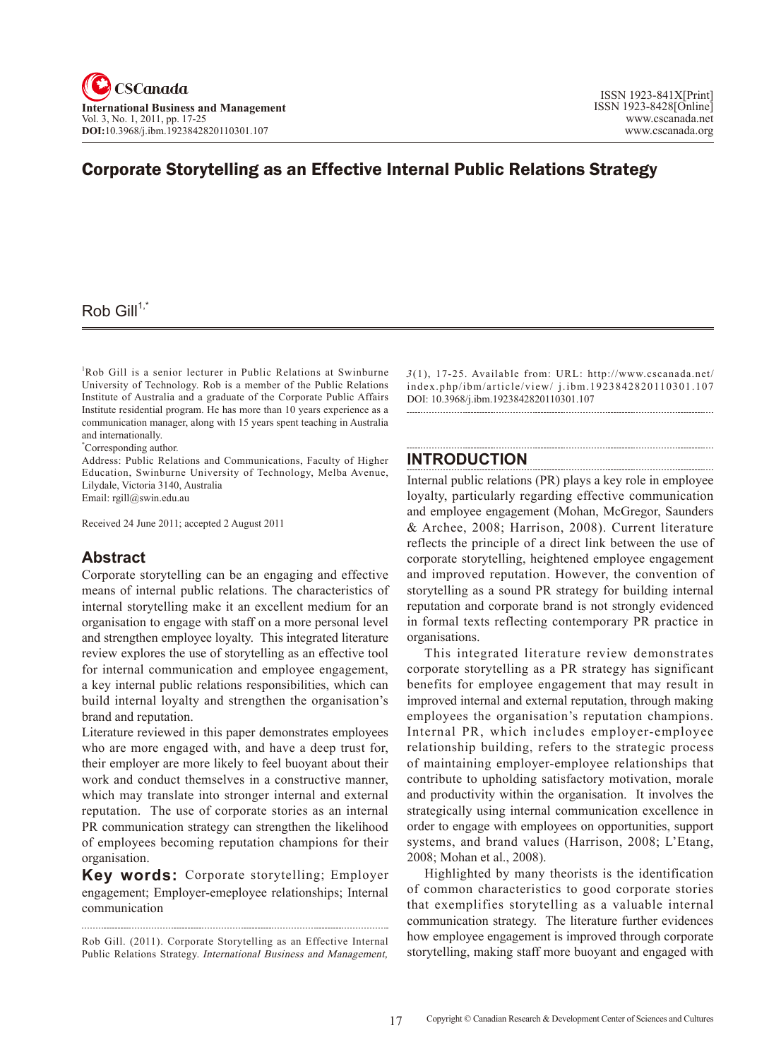# Corporate Storytelling as an Effective Internal Public Relations Strategy

## Rob Gill $1,^*$

1 Rob Gill is a senior lecturer in Public Relations at Swinburne University of Technology. Rob is a member of the Public Relations Institute of Australia and a graduate of the Corporate Public Affairs Institute residential program. He has more than 10 years experience as a communication manager, along with 15 years spent teaching in Australia and internationally.

\* Corresponding author.

Address: Public Relations and Communications, Faculty of Higher Education, Swinburne University of Technology, Melba Avenue, Lilydale, Victoria 3140, Australia Email: rgill@swin.edu.au

Received 24 June 2011; accepted 2 August 2011

## **Abstract**

Corporate storytelling can be an engaging and effective means of internal public relations. The characteristics of internal storytelling make it an excellent medium for an organisation to engage with staff on a more personal level and strengthen employee loyalty. This integrated literature review explores the use of storytelling as an effective tool for internal communication and employee engagement, a key internal public relations responsibilities, which can build internal loyalty and strengthen the organisation's brand and reputation.

Literature reviewed in this paper demonstrates employees who are more engaged with, and have a deep trust for, their employer are more likely to feel buoyant about their work and conduct themselves in a constructive manner, which may translate into stronger internal and external reputation. The use of corporate stories as an internal PR communication strategy can strengthen the likelihood of employees becoming reputation champions for their organisation.

**Key words:** Corporate storytelling; Employer engagement; Employer-emeployee relationships; Internal communication

Rob Gill. (2011). Corporate Storytelling as an Effective Internal Public Relations Strategy. International Business and Management,

 $3(1)$ , 17-25. Available from: URL: http://www.cscanada.net/ index.php/ibm/article/view/ j.ibm.1923842820110301.107 DOI: 10.3968/j.ibm.1923842820110301.107 

## **INTRODUCTION**

Internal public relations (PR) plays a key role in employee loyalty, particularly regarding effective communication and employee engagement (Mohan, McGregor, Saunders & Archee, 2008; Harrison, 2008). Current literature reflects the principle of a direct link between the use of corporate storytelling, heightened employee engagement and improved reputation. However, the convention of storytelling as a sound PR strategy for building internal reputation and corporate brand is not strongly evidenced in formal texts reflecting contemporary PR practice in organisations.

This integrated literature review demonstrates corporate storytelling as a PR strategy has significant benefits for employee engagement that may result in improved internal and external reputation, through making employees the organisation's reputation champions. Internal PR, which includes employer-employee relationship building, refers to the strategic process of maintaining employer-employee relationships that contribute to upholding satisfactory motivation, morale and productivity within the organisation. It involves the strategically using internal communication excellence in order to engage with employees on opportunities, support systems, and brand values (Harrison, 2008; L'Etang, 2008; Mohan et al., 2008).

Highlighted by many theorists is the identification of common characteristics to good corporate stories that exemplifies storytelling as a valuable internal communication strategy. The literature further evidences how employee engagement is improved through corporate storytelling, making staff more buoyant and engaged with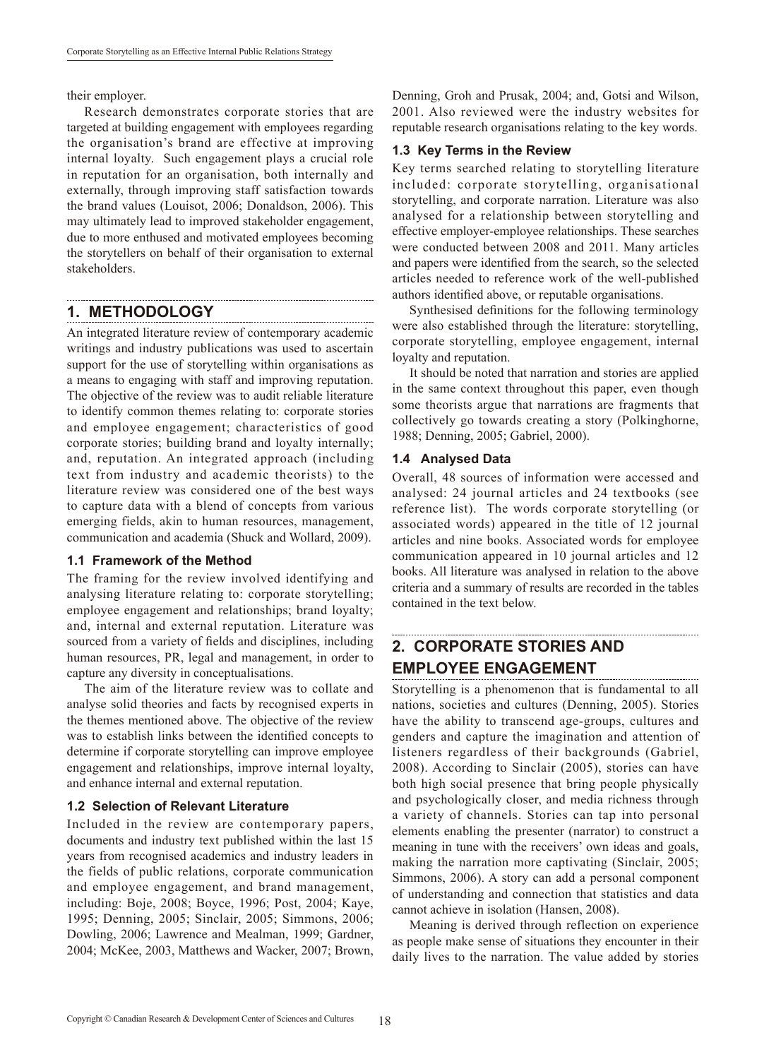their employer.

Research demonstrates corporate stories that are targeted at building engagement with employees regarding the organisation's brand are effective at improving internal loyalty. Such engagement plays a crucial role in reputation for an organisation, both internally and externally, through improving staff satisfaction towards the brand values (Louisot, 2006; Donaldson, 2006). This may ultimately lead to improved stakeholder engagement, due to more enthused and motivated employees becoming the storytellers on behalf of their organisation to external stakeholders.

## **1. METHODOLOGY**

An integrated literature review of contemporary academic writings and industry publications was used to ascertain support for the use of storytelling within organisations as a means to engaging with staff and improving reputation. The objective of the review was to audit reliable literature to identify common themes relating to: corporate stories and employee engagement; characteristics of good corporate stories; building brand and loyalty internally; and, reputation. An integrated approach (including text from industry and academic theorists) to the literature review was considered one of the best ways to capture data with a blend of concepts from various emerging fields, akin to human resources, management, communication and academia (Shuck and Wollard, 2009).

#### **1.1 Framework of the Method**

The framing for the review involved identifying and analysing literature relating to: corporate storytelling; employee engagement and relationships; brand loyalty; and, internal and external reputation. Literature was sourced from a variety of fields and disciplines, including human resources, PR, legal and management, in order to capture any diversity in conceptualisations.

The aim of the literature review was to collate and analyse solid theories and facts by recognised experts in the themes mentioned above. The objective of the review was to establish links between the identified concepts to determine if corporate storytelling can improve employee engagement and relationships, improve internal loyalty, and enhance internal and external reputation.

### **1.2 Selection of Relevant Literature**

Included in the review are contemporary papers, documents and industry text published within the last 15 years from recognised academics and industry leaders in the fields of public relations, corporate communication and employee engagement, and brand management, including: Boje, 2008; Boyce, 1996; Post, 2004; Kaye, 1995; Denning, 2005; Sinclair, 2005; Simmons, 2006; Dowling, 2006; Lawrence and Mealman, 1999; Gardner, 2004; McKee, 2003, Matthews and Wacker, 2007; Brown,

Denning, Groh and Prusak, 2004; and, Gotsi and Wilson, 2001. Also reviewed were the industry websites for reputable research organisations relating to the key words.

#### **1.3 Key Terms in the Review**

Key terms searched relating to storytelling literature included: corporate storytelling, organisational storytelling, and corporate narration. Literature was also analysed for a relationship between storytelling and effective employer-employee relationships. These searches were conducted between 2008 and 2011. Many articles and papers were identified from the search, so the selected articles needed to reference work of the well-published authors identified above, or reputable organisations.

Synthesised definitions for the following terminology were also established through the literature: storytelling, corporate storytelling, employee engagement, internal loyalty and reputation.

It should be noted that narration and stories are applied in the same context throughout this paper, even though some theorists argue that narrations are fragments that collectively go towards creating a story (Polkinghorne, 1988; Denning, 2005; Gabriel, 2000).

#### **1.4 Analysed Data**

Overall, 48 sources of information were accessed and analysed: 24 journal articles and 24 textbooks (see reference list). The words corporate storytelling (or associated words) appeared in the title of 12 journal articles and nine books. Associated words for employee communication appeared in 10 journal articles and 12 books. All literature was analysed in relation to the above criteria and a summary of results are recorded in the tables contained in the text below.

# **2. CORPORATE STORIES AND EMPLOYEE ENGAGEMENT**

Storytelling is a phenomenon that is fundamental to all nations, societies and cultures (Denning, 2005). Stories have the ability to transcend age-groups, cultures and genders and capture the imagination and attention of listeners regardless of their backgrounds (Gabriel, 2008). According to Sinclair (2005), stories can have both high social presence that bring people physically and psychologically closer, and media richness through a variety of channels. Stories can tap into personal elements enabling the presenter (narrator) to construct a meaning in tune with the receivers' own ideas and goals, making the narration more captivating (Sinclair, 2005; Simmons, 2006). A story can add a personal component of understanding and connection that statistics and data cannot achieve in isolation (Hansen, 2008).

Meaning is derived through reflection on experience as people make sense of situations they encounter in their daily lives to the narration. The value added by stories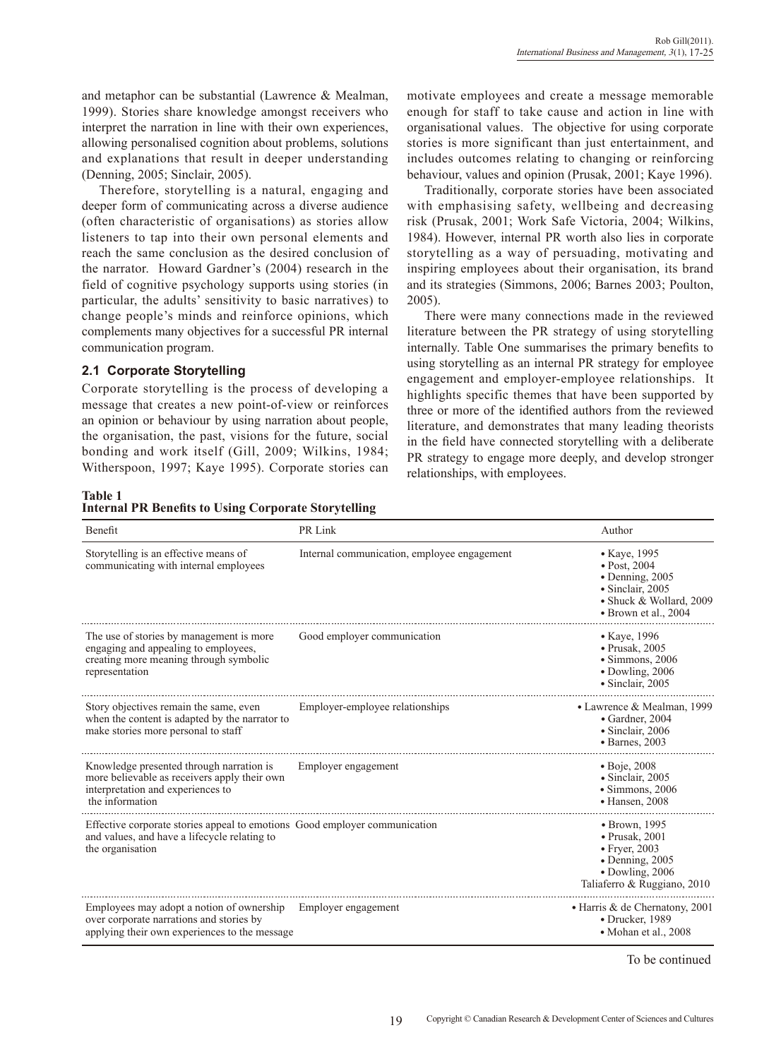and metaphor can be substantial (Lawrence & Mealman, 1999). Stories share knowledge amongst receivers who interpret the narration in line with their own experiences, allowing personalised cognition about problems, solutions and explanations that result in deeper understanding (Denning, 2005; Sinclair, 2005).

Therefore, storytelling is a natural, engaging and deeper form of communicating across a diverse audience (often characteristic of organisations) as stories allow listeners to tap into their own personal elements and reach the same conclusion as the desired conclusion of the narrator. Howard Gardner's (2004) research in the field of cognitive psychology supports using stories (in particular, the adults' sensitivity to basic narratives) to change people's minds and reinforce opinions, which complements many objectives for a successful PR internal communication program.

### **2.1 Corporate Storytelling**

Corporate storytelling is the process of developing a message that creates a new point-of-view or reinforces an opinion or behaviour by using narration about people, the organisation, the past, visions for the future, social bonding and work itself (Gill, 2009; Wilkins, 1984; Witherspoon, 1997; Kaye 1995). Corporate stories can motivate employees and create a message memorable enough for staff to take cause and action in line with organisational values. The objective for using corporate stories is more significant than just entertainment, and includes outcomes relating to changing or reinforcing behaviour, values and opinion (Prusak, 2001; Kaye 1996).

Traditionally, corporate stories have been associated with emphasising safety, wellbeing and decreasing risk (Prusak, 2001; Work Safe Victoria, 2004; Wilkins, 1984). However, internal PR worth also lies in corporate storytelling as a way of persuading, motivating and inspiring employees about their organisation, its brand and its strategies (Simmons, 2006; Barnes 2003; Poulton, 2005).

There were many connections made in the reviewed literature between the PR strategy of using storytelling internally. Table One summarises the primary benefits to using storytelling as an internal PR strategy for employee engagement and employer-employee relationships. It highlights specific themes that have been supported by three or more of the identified authors from the reviewed literature, and demonstrates that many leading theorists in the field have connected storytelling with a deliberate PR strategy to engage more deeply, and develop stronger relationships, with employees.

#### **Table 1**

| ------- |  |  |                                                             |
|---------|--|--|-------------------------------------------------------------|
|         |  |  | <b>Internal PR Benefits to Using Corporate Storytelling</b> |

| Benefit                                                                                                                                          | PR Link                                     | Author                                                                                                                                                        |
|--------------------------------------------------------------------------------------------------------------------------------------------------|---------------------------------------------|---------------------------------------------------------------------------------------------------------------------------------------------------------------|
| Storytelling is an effective means of<br>communicating with internal employees                                                                   | Internal communication, employee engagement | • Kaye, 1995<br>$\bullet$ Post, 2004<br>$\bullet$ Denning, 2005<br>· Sinclair, 2005<br>• Shuck & Wollard, 2009<br>$\bullet$ Brown et al., 2004                |
| The use of stories by management is more<br>engaging and appealing to employees,<br>creating more meaning through symbolic<br>representation     | Good employer communication                 | • Kaye, 1996<br>$\bullet$ Prusak, 2005<br>$\bullet$ Simmons, 2006<br>$\bullet$ Dowling, 2006<br>· Sinclair, 2005                                              |
| Story objectives remain the same, even<br>when the content is adapted by the narrator to<br>make stories more personal to staff                  | Employer-employee relationships             | • Lawrence & Mealman, 1999<br>• Gardner, 2004<br>• Sinclair, 2006<br>$\bullet$ Barnes, 2003                                                                   |
| Knowledge presented through narration is<br>more believable as receivers apply their own<br>interpretation and experiences to<br>the information | Employer engagement                         | $\bullet$ Boje, 2008<br>• Sinclair, 2005<br>$\bullet$ Simmons, 2006<br>$\bullet$ Hansen, 2008                                                                 |
| Effective corporate stories appeal to emotions Good employer communication<br>and values, and have a lifecycle relating to<br>the organisation   |                                             | $\bullet$ Brown, 1995<br>$\bullet$ Prusak. 2001<br>$\bullet$ Fryer, 2003<br>$\bullet$ Denning, 2005<br>$\bullet$ Dowling, 2006<br>Taliaferro & Ruggiano, 2010 |
| Employees may adopt a notion of ownership<br>over corporate narrations and stories by<br>applying their own experiences to the message           | Employer engagement                         | • Harris & de Chernatony, 2001<br>• Drucker, 1989<br>• Mohan et al., 2008                                                                                     |

To be continued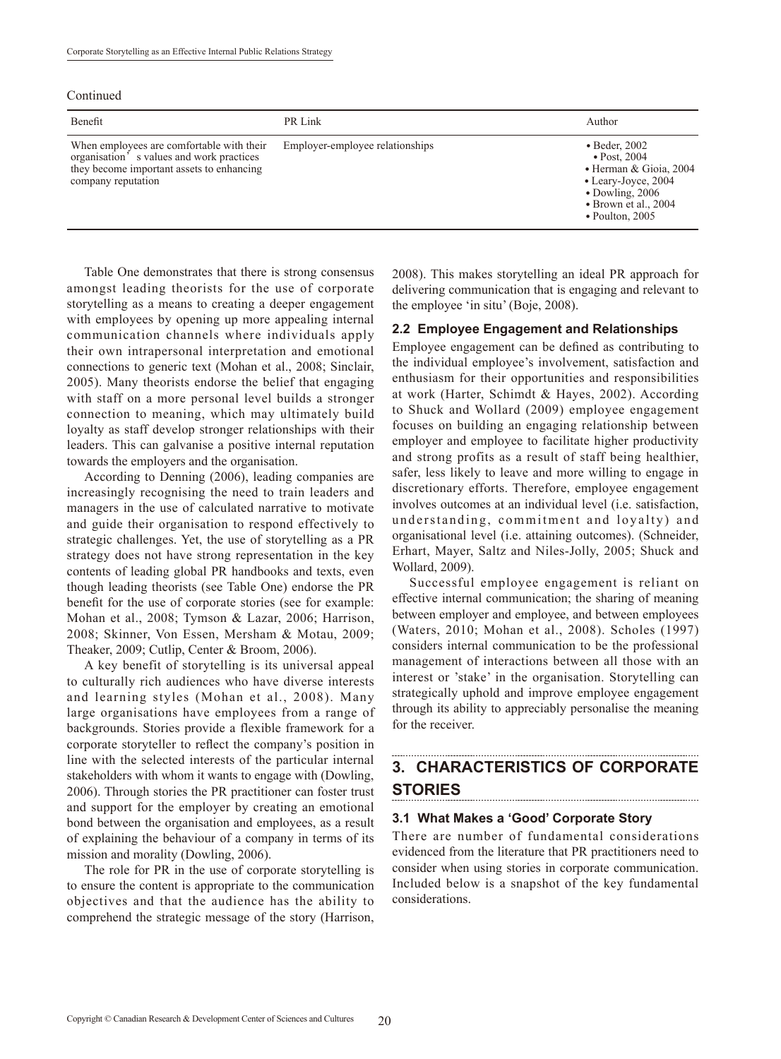Continued

| Benefit                                                                                                                                                  | PR Link                         | Author                                                                                                                                                                               |
|----------------------------------------------------------------------------------------------------------------------------------------------------------|---------------------------------|--------------------------------------------------------------------------------------------------------------------------------------------------------------------------------------|
| When employees are comfortable with their<br>organisation's values and work practices<br>they become important assets to enhancing<br>company reputation | Employer-employee relationships | $\bullet$ Beder, 2002<br>$\bullet$ Post, 2004<br>• Herman & Gioia, 2004<br>• Leary-Joyce, 2004<br>$\bullet$ Dowling, 2006<br>$\bullet$ Brown et al., 2004<br>$\bullet$ Poulton, 2005 |

Table One demonstrates that there is strong consensus amongst leading theorists for the use of corporate storytelling as a means to creating a deeper engagement with employees by opening up more appealing internal communication channels where individuals apply their own intrapersonal interpretation and emotional connections to generic text (Mohan et al., 2008; Sinclair, 2005). Many theorists endorse the belief that engaging with staff on a more personal level builds a stronger connection to meaning, which may ultimately build loyalty as staff develop stronger relationships with their leaders. This can galvanise a positive internal reputation towards the employers and the organisation.

According to Denning (2006), leading companies are increasingly recognising the need to train leaders and managers in the use of calculated narrative to motivate and guide their organisation to respond effectively to strategic challenges. Yet, the use of storytelling as a PR strategy does not have strong representation in the key contents of leading global PR handbooks and texts, even though leading theorists (see Table One) endorse the PR benefit for the use of corporate stories (see for example: Mohan et al., 2008; Tymson & Lazar, 2006; Harrison, 2008; Skinner, Von Essen, Mersham & Motau, 2009; Theaker, 2009; Cutlip, Center & Broom, 2006).

A key benefit of storytelling is its universal appeal to culturally rich audiences who have diverse interests and learning styles (Mohan et al., 2008). Many large organisations have employees from a range of backgrounds. Stories provide a flexible framework for a corporate storyteller to reflect the company's position in line with the selected interests of the particular internal stakeholders with whom it wants to engage with (Dowling, 2006). Through stories the PR practitioner can foster trust and support for the employer by creating an emotional bond between the organisation and employees, as a result of explaining the behaviour of a company in terms of its mission and morality (Dowling, 2006).

The role for PR in the use of corporate storytelling is to ensure the content is appropriate to the communication objectives and that the audience has the ability to comprehend the strategic message of the story (Harrison, 2008). This makes storytelling an ideal PR approach for delivering communication that is engaging and relevant to the employee 'in situ' (Boje, 2008).

### **2.2 Employee Engagement and Relationships**

Employee engagement can be defined as contributing to the individual employee's involvement, satisfaction and enthusiasm for their opportunities and responsibilities at work (Harter, Schimdt & Hayes, 2002). According to Shuck and Wollard (2009) employee engagement focuses on building an engaging relationship between employer and employee to facilitate higher productivity and strong profits as a result of staff being healthier, safer, less likely to leave and more willing to engage in discretionary efforts. Therefore, employee engagement involves outcomes at an individual level (i.e. satisfaction, understanding, commitment and loyalty) and organisational level (i.e. attaining outcomes). (Schneider, Erhart, Mayer, Saltz and Niles-Jolly, 2005; Shuck and Wollard, 2009).

Successful employee engagement is reliant on effective internal communication; the sharing of meaning between employer and employee, and between employees (Waters, 2010; Mohan et al., 2008). Scholes (1997) considers internal communication to be the professional management of interactions between all those with an interest or 'stake' in the organisation. Storytelling can strategically uphold and improve employee engagement through its ability to appreciably personalise the meaning for the receiver.

# **3. CHARACTERISTICS OF CORPORATE STORIES**

#### **3.1 What Makes a 'Good' Corporate Story**

There are number of fundamental considerations evidenced from the literature that PR practitioners need to consider when using stories in corporate communication. Included below is a snapshot of the key fundamental considerations.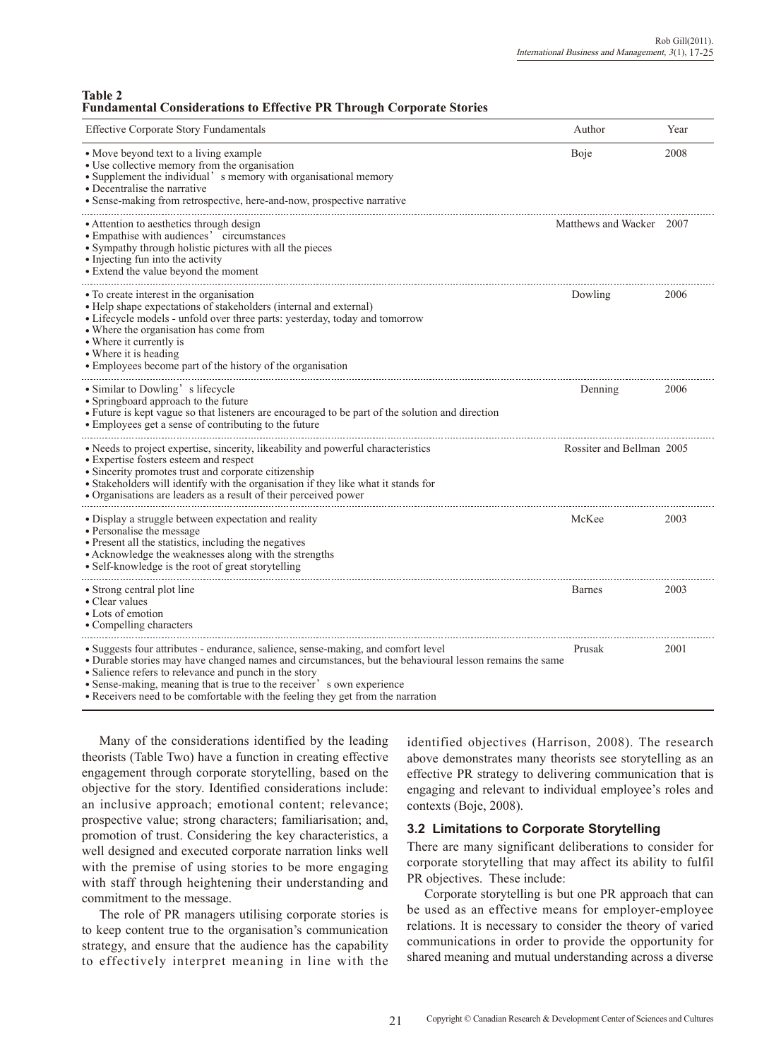#### **Table 2 Fundamental Considerations to Effective PR Through Corporate Stories**

| <b>Effective Corporate Story Fundamentals</b>                                                                                                                                                                                                                                                                                                                                                                      | Author                    | Year |
|--------------------------------------------------------------------------------------------------------------------------------------------------------------------------------------------------------------------------------------------------------------------------------------------------------------------------------------------------------------------------------------------------------------------|---------------------------|------|
| • Move beyond text to a living example<br>• Use collective memory from the organisation<br>• Supplement the individual' s memory with organisational memory<br>• Decentralise the narrative<br>• Sense-making from retrospective, here-and-now, prospective narrative                                                                                                                                              | Boje                      | 2008 |
| • Attention to aesthetics through design<br>• Empathise with audiences' circumstances<br>• Sympathy through holistic pictures with all the pieces<br>• Injecting fun into the activity<br>• Extend the value beyond the moment                                                                                                                                                                                     | Matthews and Wacker 2007  |      |
| • To create interest in the organisation<br>• Help shape expectations of stakeholders (internal and external)<br>• Lifecycle models - unfold over three parts: yesterday, today and tomorrow<br>• Where the organisation has come from<br>• Where it currently is<br>• Where it is heading<br>• Employees become part of the history of the organisation                                                           | Dowling                   | 2006 |
| • Similar to Dowling' s lifecycle<br>• Springboard approach to the future<br>• Future is kept vague so that listeners are encouraged to be part of the solution and direction<br>• Employees get a sense of contributing to the future                                                                                                                                                                             | Denning                   | 2006 |
| • Needs to project expertise, sincerity, likeability and powerful characteristics<br>• Expertise fosters esteem and respect<br>• Sincerity promotes trust and corporate citizenship<br>· Stakeholders will identify with the organisation if they like what it stands for<br>• Organisations are leaders as a result of their perceived power                                                                      | Rossiter and Bellman 2005 |      |
| • Display a struggle between expectation and reality<br>• Personalise the message<br>• Present all the statistics, including the negatives<br>• Acknowledge the weaknesses along with the strengths<br>• Self-knowledge is the root of great storytelling                                                                                                                                                          | McKee                     | 2003 |
| • Strong central plot line<br>• Clear values<br>• Lots of emotion<br>• Compelling characters                                                                                                                                                                                                                                                                                                                       | <b>Barnes</b>             | 2003 |
| • Suggests four attributes - endurance, salience, sense-making, and comfort level<br>• Durable stories may have changed names and circumstances, but the behavioural lesson remains the same<br>· Salience refers to relevance and punch in the story<br>• Sense-making, meaning that is true to the receiver' s own experience<br>• Receivers need to be comfortable with the feeling they get from the narration | Prusak                    | 2001 |

Many of the considerations identified by the leading theorists (Table Two) have a function in creating effective engagement through corporate storytelling, based on the objective for the story. Identified considerations include: an inclusive approach; emotional content; relevance; prospective value; strong characters; familiarisation; and, promotion of trust. Considering the key characteristics, a well designed and executed corporate narration links well with the premise of using stories to be more engaging with staff through heightening their understanding and commitment to the message.

The role of PR managers utilising corporate stories is to keep content true to the organisation's communication strategy, and ensure that the audience has the capability to effectively interpret meaning in line with the identified objectives (Harrison, 2008). The research above demonstrates many theorists see storytelling as an effective PR strategy to delivering communication that is engaging and relevant to individual employee's roles and contexts (Boje, 2008).

## **3.2 Limitations to Corporate Storytelling**

There are many significant deliberations to consider for corporate storytelling that may affect its ability to fulfil PR objectives. These include:

Corporate storytelling is but one PR approach that can be used as an effective means for employer-employee relations. It is necessary to consider the theory of varied communications in order to provide the opportunity for shared meaning and mutual understanding across a diverse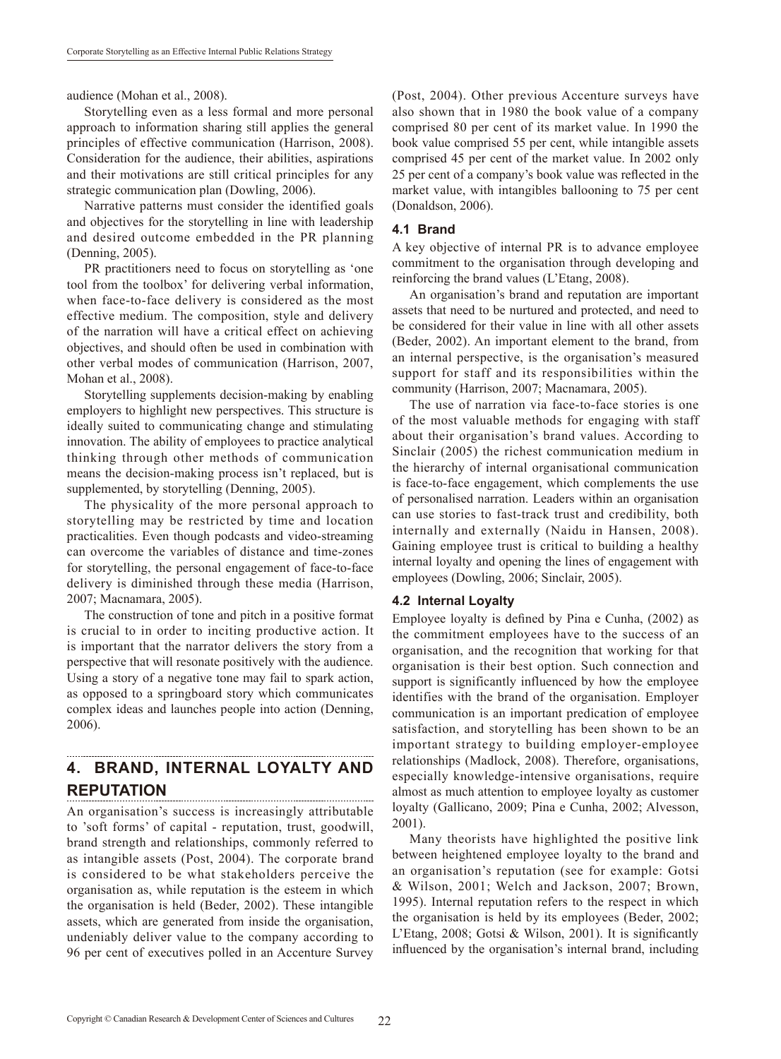audience (Mohan et al., 2008).

Storytelling even as a less formal and more personal approach to information sharing still applies the general principles of effective communication (Harrison, 2008). Consideration for the audience, their abilities, aspirations and their motivations are still critical principles for any strategic communication plan (Dowling, 2006).

Narrative patterns must consider the identified goals and objectives for the storytelling in line with leadership and desired outcome embedded in the PR planning (Denning, 2005).

PR practitioners need to focus on storytelling as 'one tool from the toolbox' for delivering verbal information, when face-to-face delivery is considered as the most effective medium. The composition, style and delivery of the narration will have a critical effect on achieving objectives, and should often be used in combination with other verbal modes of communication (Harrison, 2007, Mohan et al., 2008).

Storytelling supplements decision-making by enabling employers to highlight new perspectives. This structure is ideally suited to communicating change and stimulating innovation. The ability of employees to practice analytical thinking through other methods of communication means the decision-making process isn't replaced, but is supplemented, by storytelling (Denning, 2005).

The physicality of the more personal approach to storytelling may be restricted by time and location practicalities. Even though podcasts and video-streaming can overcome the variables of distance and time-zones for storytelling, the personal engagement of face-to-face delivery is diminished through these media (Harrison, 2007; Macnamara, 2005).

The construction of tone and pitch in a positive format is crucial to in order to inciting productive action. It is important that the narrator delivers the story from a perspective that will resonate positively with the audience. Using a story of a negative tone may fail to spark action, as opposed to a springboard story which communicates complex ideas and launches people into action (Denning, 2006).

#### **4. BRAND, INTERNAL LOYALTY AND REPUTATION**

An organisation's success is increasingly attributable to 'soft forms' of capital - reputation, trust, goodwill, brand strength and relationships, commonly referred to as intangible assets (Post, 2004). The corporate brand is considered to be what stakeholders perceive the organisation as, while reputation is the esteem in which the organisation is held (Beder, 2002). These intangible assets, which are generated from inside the organisation, undeniably deliver value to the company according to 96 per cent of executives polled in an Accenture Survey (Post, 2004). Other previous Accenture surveys have also shown that in 1980 the book value of a company comprised 80 per cent of its market value. In 1990 the book value comprised 55 per cent, while intangible assets comprised 45 per cent of the market value. In 2002 only 25 per cent of a company's book value was reflected in the market value, with intangibles ballooning to 75 per cent (Donaldson, 2006).

#### **4.1 Brand**

A key objective of internal PR is to advance employee commitment to the organisation through developing and reinforcing the brand values (L'Etang, 2008).

An organisation's brand and reputation are important assets that need to be nurtured and protected, and need to be considered for their value in line with all other assets (Beder, 2002). An important element to the brand, from an internal perspective, is the organisation's measured support for staff and its responsibilities within the community (Harrison, 2007; Macnamara, 2005).

The use of narration via face-to-face stories is one of the most valuable methods for engaging with staff about their organisation's brand values. According to Sinclair (2005) the richest communication medium in the hierarchy of internal organisational communication is face-to-face engagement, which complements the use of personalised narration. Leaders within an organisation can use stories to fast-track trust and credibility, both internally and externally (Naidu in Hansen, 2008). Gaining employee trust is critical to building a healthy internal loyalty and opening the lines of engagement with employees (Dowling, 2006; Sinclair, 2005).

#### **4.2 Internal Loyalty**

Employee loyalty is defined by Pina e Cunha, (2002) as the commitment employees have to the success of an organisation, and the recognition that working for that organisation is their best option. Such connection and support is significantly influenced by how the employee identifies with the brand of the organisation. Employer communication is an important predication of employee satisfaction, and storytelling has been shown to be an important strategy to building employer-employee relationships (Madlock, 2008). Therefore, organisations, especially knowledge-intensive organisations, require almost as much attention to employee loyalty as customer loyalty (Gallicano, 2009; Pina e Cunha, 2002; Alvesson, 2001).

Many theorists have highlighted the positive link between heightened employee loyalty to the brand and an organisation's reputation (see for example: Gotsi & Wilson, 2001; Welch and Jackson, 2007; Brown, 1995). Internal reputation refers to the respect in which the organisation is held by its employees (Beder, 2002; L'Etang, 2008; Gotsi & Wilson, 2001). It is significantly influenced by the organisation's internal brand, including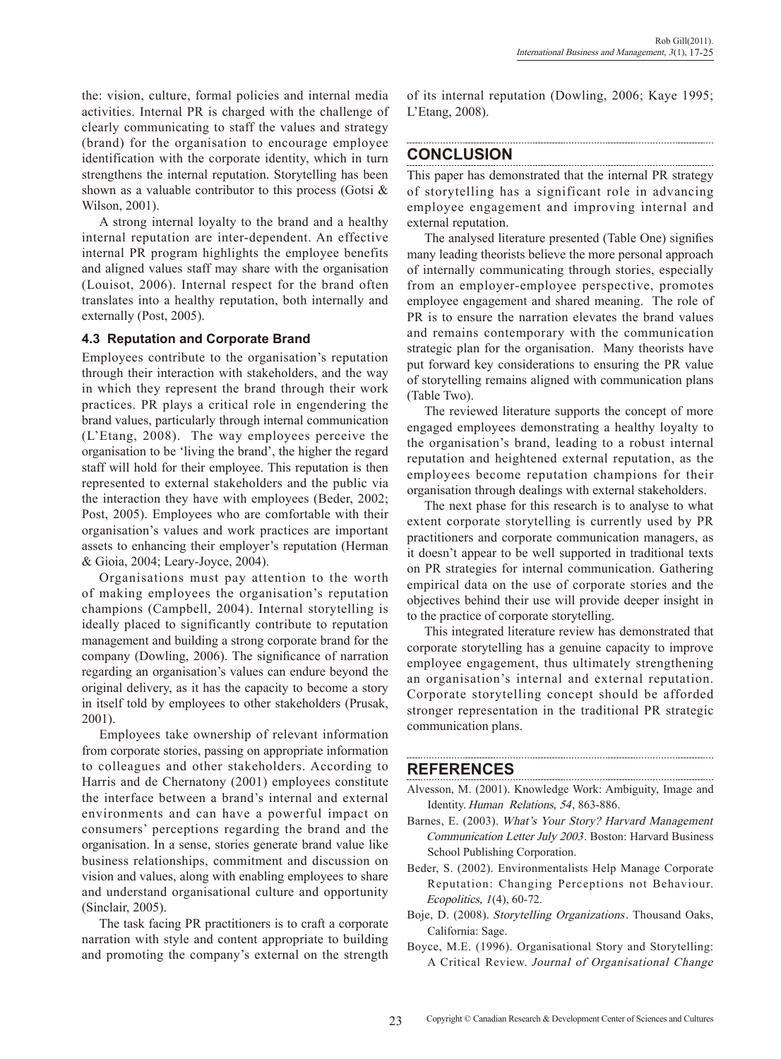the: vision, culture, formal policies and internal media activities. Internal PR is charged with the challenge of clearly communicating to staff the values and strategy (brand) for the organisation to encourage employee identification with the corporate identity, which in turn strengthens the internal reputation. Storytelling has been shown as a valuable contributor to this process (Gotsi & Wilson, 2001).

A strong internal loyalty to the brand and a healthy internal reputation are inter-dependent. An effective internal PR program highlights the employee benefits and aligned values staff may share with the organisation (Louisot, 2006). Internal respect for the brand often translates into a healthy reputation, both internally and externally (Post, 2005).

#### **4.3 Reputation and Corporate Brand**

Employees contribute to the organisation's reputation through their interaction with stakeholders, and the way in which they represent the brand through their work practices. PR plays a critical role in engendering the brand values, particularly through internal communication (L'Etang, 2008). The way employees perceive the organisation to be 'living the brand', the higher the regard staff will hold for their employee. This reputation is then represented to external stakeholders and the public via the interaction they have with employees (Beder, 2002; Post, 2005). Employees who are comfortable with their organisation's values and work practices are important assets to enhancing their employer's reputation (Herman & Gioia, 2004; Leary-Joyce, 2004).

Organisations must pay attention to the worth of making employees the organisation's reputation champions (Campbell, 2004). Internal storytelling is ideally placed to significantly contribute to reputation management and building a strong corporate brand for the company (Dowling, 2006). The significance of narration regarding an organisation's values can endure beyond the original delivery, as it has the capacity to become a story in itself told by employees to other stakeholders (Prusak, 2001).

Employees take ownership of relevant information from corporate stories, passing on appropriate information to colleagues and other stakeholders. According to Harris and de Chernatony (2001) employees constitute the interface between a brand's internal and external environments and can have a powerful impact on consumers' perceptions regarding the brand and the organisation. In a sense, stories generate brand value like business relationships, commitment and discussion on vision and values, along with enabling employees to share and understand organisational culture and opportunity (Sinclair, 2005).

The task facing PR practitioners is to craft a corporate narration with style and content appropriate to building and promoting the company's external on the strength of its internal reputation (Dowling, 2006; Kaye 1995; L'Etang, 2008).

# **CONCLUSION**

This paper has demonstrated that the internal PR strategy of storytelling has a significant role in advancing employee engagement and improving internal and external reputation.

The analysed literature presented (Table One) signifies many leading theorists believe the more personal approach of internally communicating through stories, especially from an employer-employee perspective, promotes employee engagement and shared meaning. The role of PR is to ensure the narration elevates the brand values and remains contemporary with the communication strategic plan for the organisation. Many theorists have put forward key considerations to ensuring the PR value of storytelling remains aligned with communication plans (Table Two).

The reviewed literature supports the concept of more engaged employees demonstrating a healthy loyalty to the organisation's brand, leading to a robust internal reputation and heightened external reputation, as the employees become reputation champions for their organisation through dealings with external stakeholders.

The next phase for this research is to analyse to what extent corporate storytelling is currently used by PR practitioners and corporate communication managers, as it doesn't appear to be well supported in traditional texts on PR strategies for internal communication. Gathering empirical data on the use of corporate stories and the objectives behind their use will provide deeper insight in to the practice of corporate storytelling.

This integrated literature review has demonstrated that corporate storytelling has a genuine capacity to improve employee engagement, thus ultimately strengthening an organisation's internal and external reputation. Corporate storytelling concept should be afforded stronger representation in the traditional PR strategic communication plans.

## **REFERENCES**

Alvesson, M. (2001). Knowledge Work: Ambiguity, Image and Identity. Human Relations, 54, 863-886.

- Barnes, E. (2003). What's Your Story? Harvard Management Communication Letter July 2003. Boston: Harvard Business School Publishing Corporation.
- Beder, S. (2002). Environmentalists Help Manage Corporate Reputation: Changing Perceptions not Behaviour. Ecopolitics, 1(4), 60-72.
- Boje, D. (2008). Storytelling Organizations. Thousand Oaks, California: Sage.
- Boyce, M.E. (1996). Organisational Story and Storytelling: A Critical Review. Journal of Organisational Change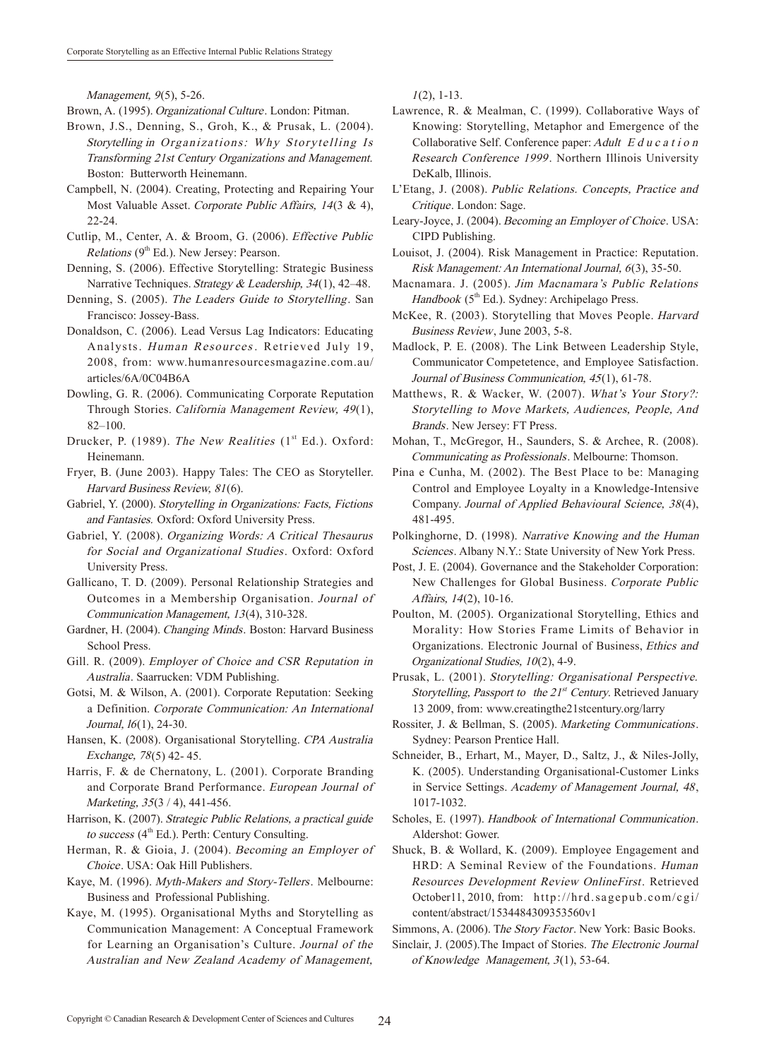Management, 9(5), 5-26.

Brown, A. (1995). Organizational Culture. London: Pitman.

- Brown, J.S., Denning, S., Groh, K., & Prusak, L. (2004). Storytelling in Organizations: Why Storytelling Is Transforming 21st Century Organizations and Management. Boston: Butterworth Heinemann.
- Campbell, N. (2004). Creating, Protecting and Repairing Your Most Valuable Asset. Corporate Public Affairs, 14(3 & 4), 22-24.
- Cutlip, M., Center, A. & Broom, G. (2006). Effective Public *Relations* ( $9<sup>th</sup> Ed.$ ). New Jersey: Pearson.
- Denning, S. (2006). Effective Storytelling: Strategic Business Narrative Techniques. Strategy & Leadership, 34(1), 42–48.
- Denning, S. (2005). The Leaders Guide to Storytelling. San Francisco: Jossey-Bass.
- Donaldson, C. (2006). Lead Versus Lag Indicators: Educating Analysts. Human Resources. Retrieved July 19, 2008, from: www.humanresourcesmagazine.com.au/ articles/6A/0C04B6A
- Dowling, G. R. (2006). Communicating Corporate Reputation Through Stories. California Management Review, 49(1), 82–100.
- Drucker, P. (1989). The New Realities  $(1<sup>st</sup> Ed.)$ . Oxford: Heinemann.
- Fryer, B. (June 2003). Happy Tales: The CEO as Storyteller. Harvard Business Review, 81(6).
- Gabriel, Y. (2000). Storytelling in Organizations: Facts, Fictions and Fantasies. Oxford: Oxford University Press.
- Gabriel, Y. (2008). Organizing Words: A Critical Thesaurus for Social and Organizational Studies. Oxford: Oxford University Press.
- Gallicano, T. D. (2009). Personal Relationship Strategies and Outcomes in a Membership Organisation. Journal of Communication Management, 13(4), 310-328.
- Gardner, H. (2004). Changing Minds. Boston: Harvard Business School Press.
- Gill. R. (2009). Employer of Choice and CSR Reputation in Australia. Saarrucken: VDM Publishing.
- Gotsi, M. & Wilson, A. (2001). Corporate Reputation: Seeking a Definition. Corporate Communication: An International Journal, l6(1), 24-30.
- Hansen, K. (2008). Organisational Storytelling. CPA Australia Exchange, 78(5) 42- 45.
- Harris, F. & de Chernatony, L. (2001). Corporate Branding and Corporate Brand Performance. European Journal of Marketing, 35(3 / 4), 441-456.
- Harrison, K. (2007). Strategic Public Relations, a practical guide to success (4<sup>th</sup> Ed.). Perth: Century Consulting.
- Herman, R. & Gioia, J. (2004). Becoming an Employer of Choice. USA: Oak Hill Publishers.
- Kaye, M. (1996). Myth-Makers and Story-Tellers. Melbourne: Business and Professional Publishing.
- Kaye, M. (1995). Organisational Myths and Storytelling as Communication Management: A Conceptual Framework for Learning an Organisation's Culture. Journal of the Australian and New Zealand Academy of Management,

 $1(2)$ , 1-13.

- Lawrence, R. & Mealman, C. (1999). Collaborative Ways of Knowing: Storytelling, Metaphor and Emergence of the Collaborative Self. Conference paper: Adult E d <sup>u</sup> <sup>c</sup> <sup>a</sup> <sup>t</sup> <sup>i</sup> <sup>o</sup> <sup>n</sup> Research Conference 1999. Northern Illinois University DeKalb, Illinois.
- L'Etang, J. (2008). Public Relations. Concepts, Practice and Critique. London: Sage.
- Leary-Joyce, J. (2004). Becoming an Employer of Choice. USA: CIPD Publishing.
- Louisot, J. (2004). Risk Management in Practice: Reputation. Risk Management: An International Journal, 6(3), 35-50.
- Macnamara. J. (2005). Jim Macnamara's Public Relations Handbook  $(5<sup>th</sup> Ed.)$ . Sydney: Archipelago Press.
- McKee, R. (2003). Storytelling that Moves People. Harvard Business Review, June 2003, 5-8.
- Madlock, P. E. (2008). The Link Between Leadership Style, Communicator Competetence, and Employee Satisfaction. Journal of Business Communication, 45(1), 61-78.
- Matthews, R. & Wacker, W. (2007). What's Your Story?: Storytelling to Move Markets, Audiences, People, And Brands. New Jersey: FT Press.
- Mohan, T., McGregor, H., Saunders, S. & Archee, R. (2008). Communicating as Professionals. Melbourne: Thomson.
- Pina e Cunha, M. (2002). The Best Place to be: Managing Control and Employee Loyalty in a Knowledge-Intensive Company. Journal of Applied Behavioural Science, 38(4), 481-495.
- Polkinghorne, D. (1998). Narrative Knowing and the Human Sciences. Albany N.Y.: State University of New York Press.
- Post, J. E. (2004). Governance and the Stakeholder Corporation: New Challenges for Global Business. Corporate Public Affairs, 14(2), 10-16.
- Poulton, M. (2005). Organizational Storytelling, Ethics and Morality: How Stories Frame Limits of Behavior in Organizations. Electronic Journal of Business, Ethics and Organizational Studies, 10(2), 4-9.
- Prusak, L. (2001). Storytelling: Organisational Perspective. Storytelling, Passport to the  $21<sup>st</sup>$  Century. Retrieved January 13 2009, from: www.creatingthe21stcentury.org/larry
- Rossiter, J. & Bellman, S. (2005). Marketing Communications. Sydney: Pearson Prentice Hall.
- Schneider, B., Erhart, M., Mayer, D., Saltz, J., & Niles-Jolly, K. (2005). Understanding Organisational-Customer Links in Service Settings. Academy of Management Journal, 48, 1017-1032.
- Scholes, E. (1997). Handbook of International Communication. Aldershot: Gower.
- Shuck, B. & Wollard, K. (2009). Employee Engagement and HRD: A Seminal Review of the Foundations. Human Resources Development Review OnlineFirst. Retrieved October11, 2010, from: http://hrd.sagepub.com/cgi/ content/abstract/1534484309353560v1

Sinclair, J. (2005).The Impact of Stories. The Electronic Journal of Knowledge Management, 3(1), 53-64.

Simmons, A. (2006). The Story Factor. New York: Basic Books.